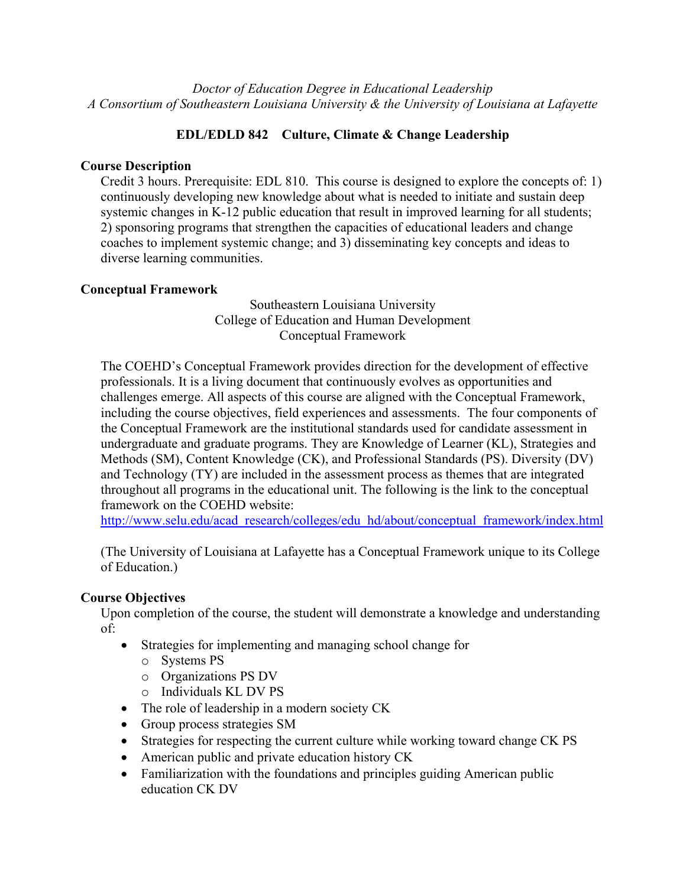*Doctor of Education Degree in Educational Leadership A Consortium of Southeastern Louisiana University & the University of Louisiana at Lafayette*

# **EDL/EDLD 842 Culture, Climate & Change Leadership**

## **Course Description**

Credit 3 hours. Prerequisite: EDL 810. This course is designed to explore the concepts of: 1) continuously developing new knowledge about what is needed to initiate and sustain deep systemic changes in K-12 public education that result in improved learning for all students; 2) sponsoring programs that strengthen the capacities of educational leaders and change coaches to implement systemic change; and 3) disseminating key concepts and ideas to diverse learning communities.

### **Conceptual Framework**

Southeastern Louisiana University College of Education and Human Development Conceptual Framework

The COEHD's Conceptual Framework provides direction for the development of effective professionals. It is a living document that continuously evolves as opportunities and challenges emerge. All aspects of this course are aligned with the Conceptual Framework, including the course objectives, field experiences and assessments. The four components of the Conceptual Framework are the institutional standards used for candidate assessment in undergraduate and graduate programs. They are Knowledge of Learner (KL), Strategies and Methods (SM), Content Knowledge (CK), and Professional Standards (PS). Diversity (DV) and Technology (TY) are included in the assessment process as themes that are integrated throughout all programs in the educational unit. The following is the link to the conceptual framework on the COEHD website:

http://www.selu.edu/acad\_research/colleges/edu\_hd/about/conceptual\_framework/index.html

(The University of Louisiana at Lafayette has a Conceptual Framework unique to its College of Education.)

# **Course Objectives**

Upon completion of the course, the student will demonstrate a knowledge and understanding of:

- Strategies for implementing and managing school change for
	- o Systems PS
	- o Organizations PS DV
	- o Individuals KL DV PS
- The role of leadership in a modern society CK
- Group process strategies SM
- Strategies for respecting the current culture while working toward change CK PS
- American public and private education history CK
- Familiarization with the foundations and principles guiding American public education CK DV